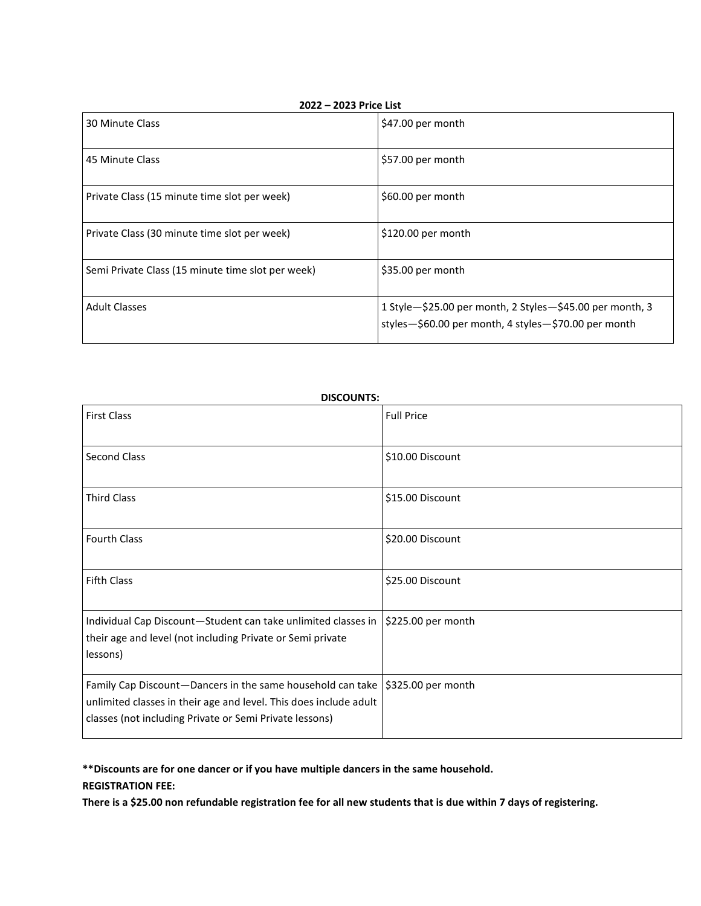| 2022 - 2023 Price List                            |                                                                                                                  |
|---------------------------------------------------|------------------------------------------------------------------------------------------------------------------|
| 30 Minute Class                                   | \$47.00 per month                                                                                                |
| 45 Minute Class                                   | \$57.00 per month                                                                                                |
| Private Class (15 minute time slot per week)      | \$60.00 per month                                                                                                |
| Private Class (30 minute time slot per week)      | \$120.00 per month                                                                                               |
| Semi Private Class (15 minute time slot per week) | \$35.00 per month                                                                                                |
| <b>Adult Classes</b>                              | 1 Style-\$25.00 per month, 2 Styles-\$45.00 per month, 3<br>styles-\$60.00 per month, 4 styles-\$70.00 per month |

| <b>DISCOUNTS:</b>                                                                                                                                                                                               |                    |
|-----------------------------------------------------------------------------------------------------------------------------------------------------------------------------------------------------------------|--------------------|
| <b>First Class</b>                                                                                                                                                                                              | <b>Full Price</b>  |
| <b>Second Class</b>                                                                                                                                                                                             | \$10.00 Discount   |
| <b>Third Class</b>                                                                                                                                                                                              | \$15.00 Discount   |
| <b>Fourth Class</b>                                                                                                                                                                                             | \$20.00 Discount   |
| <b>Fifth Class</b>                                                                                                                                                                                              | \$25.00 Discount   |
| Individual Cap Discount-Student can take unlimited classes in<br>their age and level (not including Private or Semi private<br>lessons)                                                                         | \$225.00 per month |
| Family Cap Discount—Dancers in the same household can take   \$325.00 per month<br>unlimited classes in their age and level. This does include adult<br>classes (not including Private or Semi Private lessons) |                    |

**\*\*Discounts are for one dancer or if you have multiple dancers in the same household. REGISTRATION FEE:**

**There is a \$25.00 non refundable registration fee for all new students that is due within 7 days of registering.**